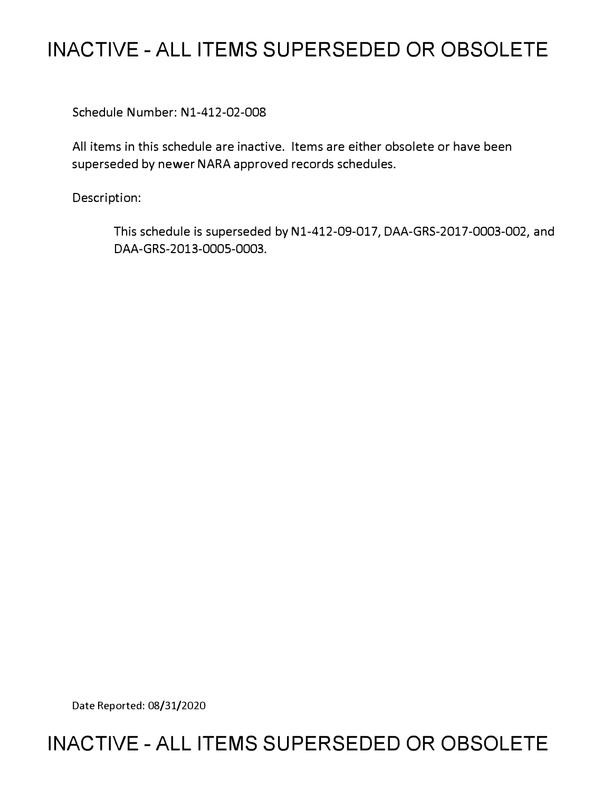## **INACTIVE - ALL ITEMS SUPERSEDED OR OBSOLETE**

Schedule Number: Nl-412-02-008

All items in this schedule are inactive. Items are either obsolete or have been superseded by newer NARA approved records schedules.

Description:

This schedule is superseded by Nl-412-09-017, DAA-GRS-2017-0003-002, and DAA-GRS-2013-0005-0003.

Date Reported: 08/31/2020

## **INACTIVE - ALL ITEMS SUPERSEDED OR OBSOLETE**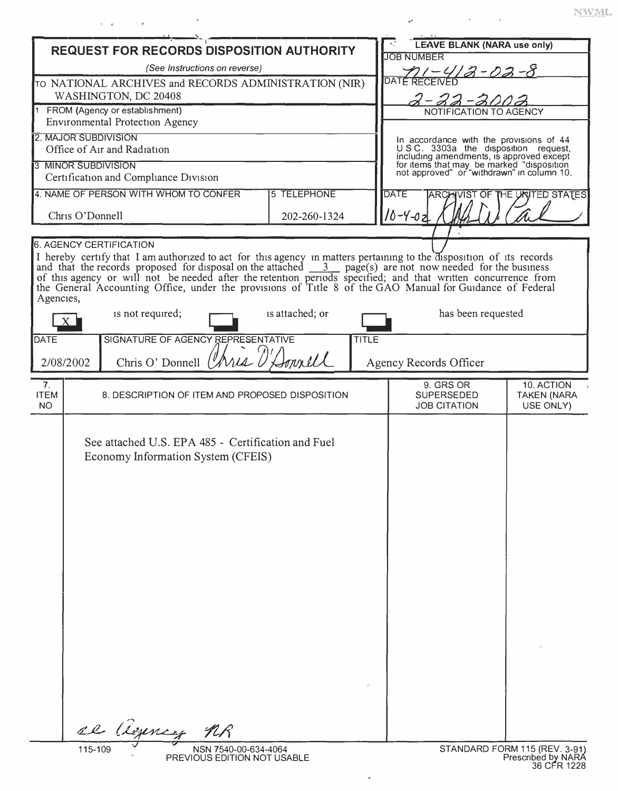|                                                                                                                                                                                                                                                                                                                                                                                                                                                                                                                                 |                                                                                          |              |              |                                                                                   | <b>LEAVE BLANK (NARA use only)</b>                                                      |                                               |  |
|---------------------------------------------------------------------------------------------------------------------------------------------------------------------------------------------------------------------------------------------------------------------------------------------------------------------------------------------------------------------------------------------------------------------------------------------------------------------------------------------------------------------------------|------------------------------------------------------------------------------------------|--------------|--------------|-----------------------------------------------------------------------------------|-----------------------------------------------------------------------------------------|-----------------------------------------------|--|
| <b>REQUEST FOR RECORDS DISPOSITION AUTHORITY</b>                                                                                                                                                                                                                                                                                                                                                                                                                                                                                |                                                                                          |              |              |                                                                                   | <b>JOB NUMBER</b>                                                                       |                                               |  |
| (See Instructions on reverse)                                                                                                                                                                                                                                                                                                                                                                                                                                                                                                   |                                                                                          |              |              | $3 - 02 - 8$                                                                      |                                                                                         |                                               |  |
| TO NATIONAL ARCHIVES and RECORDS ADMINISTRATION (NIR)<br>WASHINGTON, DC 20408                                                                                                                                                                                                                                                                                                                                                                                                                                                   |                                                                                          |              |              |                                                                                   | DATÉ RE                                                                                 |                                               |  |
| 1 FROM (Agency or establishment)<br><b>Environmental Protection Agency</b>                                                                                                                                                                                                                                                                                                                                                                                                                                                      |                                                                                          |              |              |                                                                                   | NOTIFICATION TO AGENCY                                                                  |                                               |  |
| <b>2. MAJOR SUBDIVISION</b>                                                                                                                                                                                                                                                                                                                                                                                                                                                                                                     |                                                                                          |              |              |                                                                                   | In accordance with the provisions of 44                                                 |                                               |  |
| Office of Air and Radiation                                                                                                                                                                                                                                                                                                                                                                                                                                                                                                     |                                                                                          |              |              | U S C. 3303a the disposition request,<br>including amendments, is approved except |                                                                                         |                                               |  |
| <b>3 MINOR SUBDIVISION</b><br>Certification and Compliance Division                                                                                                                                                                                                                                                                                                                                                                                                                                                             |                                                                                          |              |              |                                                                                   | for items that may be marked "disposition<br>not approved" or "withdrawn" in column 10. |                                               |  |
| 4. NAME OF PERSON WITH WHOM TO CONFER<br><b>5 TELEPHONE</b>                                                                                                                                                                                                                                                                                                                                                                                                                                                                     |                                                                                          |              |              | <b>DATE</b><br>ARCHIVIST OF THE UNITED STATES                                     |                                                                                         |                                               |  |
|                                                                                                                                                                                                                                                                                                                                                                                                                                                                                                                                 | Chris O'Donnell                                                                          | 202-260-1324 |              | $10 - 4 - 02$                                                                     |                                                                                         |                                               |  |
|                                                                                                                                                                                                                                                                                                                                                                                                                                                                                                                                 |                                                                                          |              |              |                                                                                   |                                                                                         |                                               |  |
| <b>6. AGENCY CERTIFICATION</b><br>I hereby certify that I am authorized to act for this agency in matters pertaining to the disposition of its records<br>and that the records proposed for disposal on the attached $\frac{3}{\sqrt{2}}$ page(s) are not now needed for the business<br>of this agency or will not be needed after the retention periods specified; and that written concurrence from<br>the General Accounting Office, under the provisions of Title 8 of the GAO Manual for Guidance of Federal<br>Agencies, |                                                                                          |              |              |                                                                                   |                                                                                         |                                               |  |
|                                                                                                                                                                                                                                                                                                                                                                                                                                                                                                                                 | is not required;<br>is attached; or                                                      |              |              |                                                                                   | has been requested                                                                      |                                               |  |
| <b>DATE</b>                                                                                                                                                                                                                                                                                                                                                                                                                                                                                                                     | SIGNATURE OF AGENCY REPRESENTATIVE                                                       |              | <b>TITLE</b> |                                                                                   |                                                                                         |                                               |  |
| Chris O'Donnell (Aria V'Aonnell<br>2/08/2002                                                                                                                                                                                                                                                                                                                                                                                                                                                                                    |                                                                                          |              |              |                                                                                   | Agency Records Officer                                                                  |                                               |  |
| 7.<br><b>ITEM</b><br>NO.                                                                                                                                                                                                                                                                                                                                                                                                                                                                                                        | 8. DESCRIPTION OF ITEM AND PROPOSED DISPOSITION                                          |              |              |                                                                                   | 9. GRS OR<br><b>SUPERSEDED</b><br><b>JOB CITATION</b>                                   | 10. ACTION<br><b>TAKEN (NARA</b><br>USE ONLY) |  |
|                                                                                                                                                                                                                                                                                                                                                                                                                                                                                                                                 | See attached U.S. EPA 485 - Certification and Fuel<br>Economy Information System (CFEIS) |              |              |                                                                                   |                                                                                         |                                               |  |
|                                                                                                                                                                                                                                                                                                                                                                                                                                                                                                                                 | al agency nR<br>115-109<br>NSN 7540-00-634-4064                                          |              |              |                                                                                   |                                                                                         |                                               |  |
| STANDARD FORM 115 (REV. 3-91)<br>Prescribed by NARA<br>36 CFR 1228<br>PREVIOUS EDITION NOT USABLE                                                                                                                                                                                                                                                                                                                                                                                                                               |                                                                                          |              |              |                                                                                   |                                                                                         |                                               |  |

×

y.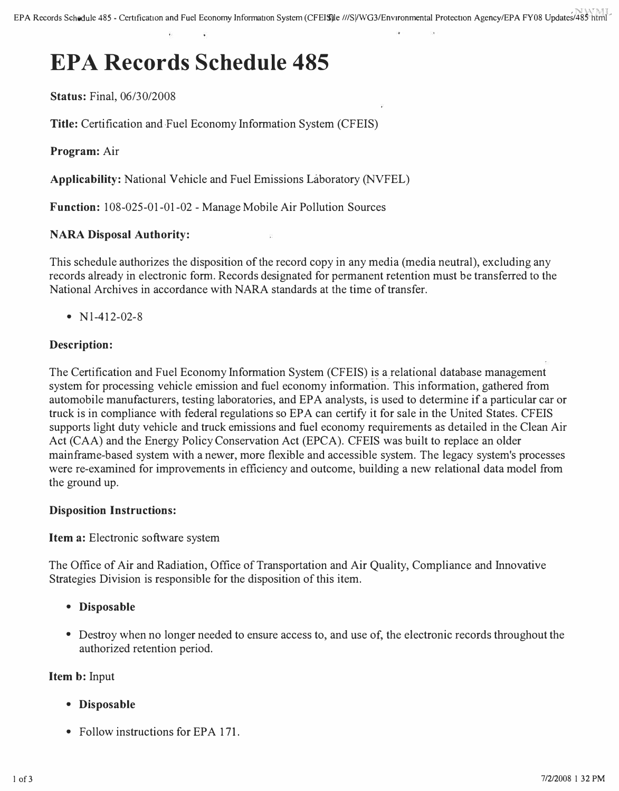# **EPA Records Schedule 485**

## **Status:** Final, 06/30/2008

**Title:** Certification and-Fuel Economy Information System (CFEIS)

## **Program:** Air

**Applicability:** National Vehicle and Fuel Emissions Laboratory (NVFEL)

**Function:** 108-025-01-01-02 - Manage Mobile Air Pollution Sources

## **NARA Disposal Authority:**

This schedule authorizes the disposition of the record copy in any media (media neutral), excluding any records already in electronic form. Records designated for permanent retention must be transferred to the National Archives in accordance with NARA standards at the time of transfer.

• Nl-412-02-8

## **Description:**

The Certification and Fuel Economy Information System (CFEIS) is a\_relational database management system for processing vehicle emission and fuel economy information. This information, gathered from automobile manufacturers, testing laboratories, and EPA analysts, is used to determine if a particular car or truck is in compliance with federal regulations so EPA can certify it for sale in the United States. CFEIS supports light duty vehicle and truck emissions and fuel economy requirements as detailed in the Clean Air Act (CAA) and the Energy Policy Conservation Act (EPCA). CFEIS was built to replace an older mainframe-based system with a newer, more flexible and accessible system. The legacy system's processes were re-examined for improvements in efficiency and outcome, building a new relational data model from the ground up.

## **Disposition Instructions:**

**Item a:** Electronic software system

The Office of Air and Radiation, Office of Transportation and Air Quality, Compliance and Innovative Strategies Division is responsible for the disposition of this item.

- **Disposable**
- Destroy when no longer needed to ensure access to, and use of, the electronic records throughout the authorized retention period.

#### **Item b:** Input

- **Disposable**
- Follow instructions for EPA 171.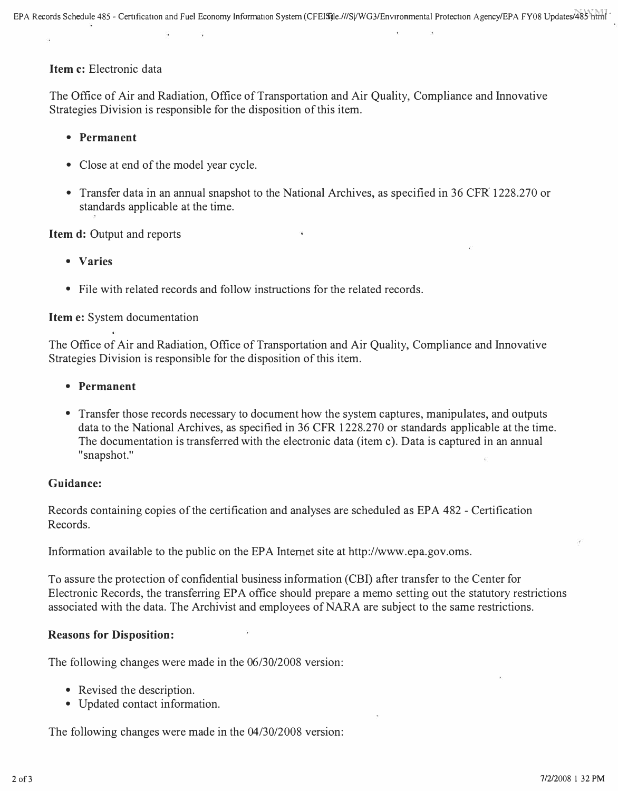#### **Item c:** Electronic data

The Office of Air and Radiation, Office of Transportation and Air Quality, Compliance and Innovative Strategies Division is responsible for the disposition of this item.

- **Permanent**
- Close at end of the model year cycle.
- Transfer data in an annual snapshot to the National Archives, as specified in 36 CFR 1228.270 or standards applicable at the time.

#### **Item d:** Output and reports

- **Varies**
- File with related records and follow instructions for the related records.

#### **Item e:** System documentation

The Office of Air and Radiation, Office of Transportation and Air Quality, Compliance and Innovative Strategies Division is responsible for the disposition of this item.

#### **• Permanent**

• Transfer those records necessary to document how the system captures, manipulates, and outputs data to the National Archives, as specified in 36 CFR 1228.270 or standards applicable at the time. The documentation is transferred with the electronic data (item c). Data is captured in an annual "snapshot."

#### **Guidance:**

Records containing copies of the certification and analyses are scheduled as EPA 482 - Certification Records.

Information available to the public on the EPA Internet site at<http://www.epa.gov.oms.>

To assure the protection of confidential business information (CBI) after transfer to the Center for Electronic Records, the transferring EPA office should prepare a memo setting out the statutory restrictions associated with the data. The Archivist and employees of NARA are subject to the same restrictions.

#### **Reasons for Disposition:**

The following changes were made in the 06/30/2008 version:

- Revised the description.
- Updated contact information.

The following changes were made in the 04/30/2008 version: